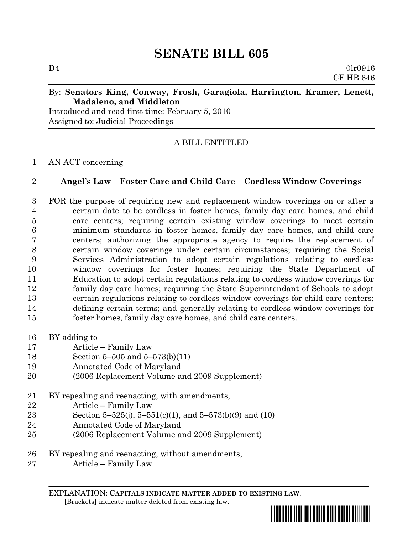# **SENATE BILL 605**

#### By: **Senators King, Conway, Frosh, Garagiola, Harrington, Kramer, Lenett, Madaleno, and Middleton**

Introduced and read first time: February 5, 2010 Assigned to: Judicial Proceedings

## A BILL ENTITLED

### 1 AN ACT concerning

### 2 **Angel's Law – Foster Care and Child Care – Cordless Window Coverings**

- 3 FOR the purpose of requiring new and replacement window coverings on or after a 4 certain date to be cordless in foster homes, family day care homes, and child 5 care centers; requiring certain existing window coverings to meet certain 6 minimum standards in foster homes, family day care homes, and child care 7 centers; authorizing the appropriate agency to require the replacement of 8 certain window coverings under certain circumstances; requiring the Social 9 Services Administration to adopt certain regulations relating to cordless 10 window coverings for foster homes; requiring the State Department of 11 Education to adopt certain regulations relating to cordless window coverings for 12 family day care homes; requiring the State Superintendant of Schools to adopt 13 certain regulations relating to cordless window coverings for child care centers; 14 defining certain terms; and generally relating to cordless window coverings for 15 foster homes, family day care homes, and child care centers.
- 16 BY adding to
- 17 Article Family Law
- 18 Section 5–505 and  $5-573(b)(11)$
- 19 Annotated Code of Maryland
- 20 (2006 Replacement Volume and 2009 Supplement)
- 21 BY repealing and reenacting, with amendments,
- $22$  Article Family Law
- 23 Section 5-525(j), 5-551(c)(1), and 5-573(b)(9) and (10)
- 24 Annotated Code of Maryland
- 25 (2006 Replacement Volume and 2009 Supplement)
- 26 BY repealing and reenacting, without amendments,
- $27$  Article Family Law

EXPLANATION: **CAPITALS INDICATE MATTER ADDED TO EXISTING LAW**.  **[**Brackets**]** indicate matter deleted from existing law.

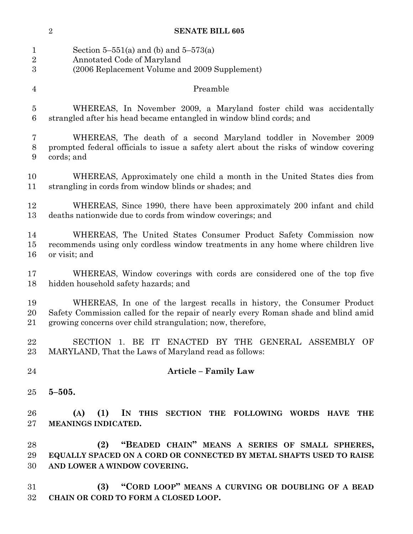1 Section 5–551(a) and (b) and 5–573(a) Annotated Code of Maryland (2006 Replacement Volume and 2009 Supplement) Preamble WHEREAS, In November 2009, a Maryland foster child was accidentally 6 strangled after his head became entangled in window blind cords; and WHEREAS, The death of a second Maryland toddler in November 2009 prompted federal officials to issue a safety alert about the risks of window covering 9 cords; and WHEREAS, Approximately one child a month in the United States dies from 11 strangling in cords from window blinds or shades; and WHEREAS, Since 1990, there have been approximately 200 infant and child 13 deaths nationwide due to cords from window coverings; and WHEREAS, The United States Consumer Product Safety Commission now recommends using only cordless window treatments in any home where children live 16 or visit; and WHEREAS, Window coverings with cords are considered one of the top five 18 hidden household safety hazards; and WHEREAS, In one of the largest recalls in history, the Consumer Product Safety Commission called for the repair of nearly every Roman shade and blind amid 21 growing concerns over child strangulation; now, therefore, SECTION 1. BE IT ENACTED BY THE GENERAL ASSEMBLY OF MARYLAND, That the Laws of Maryland read as follows: **Article ² Family Law 5²505. (A) (1) IN THIS SECTION THE FOLLOWING WORDS HAVE THE MEANINGS INDICATED. (2) ´BEADED CHAINµ MEANS A SERIES OF SMALL SPHERES, EQUALLY SPACED ON A CORD OR CONNECTED BY METAL SHAFTS USED TO RAISE AND LOWER A WINDOW COVERING. (3) ´&ORD LOOPµ MEANS A CURVING OR DOUBLING OF A BEAD CHAIN OR CORD TO FORM A CLOSED LOOP.**

**SENATE BILL 605**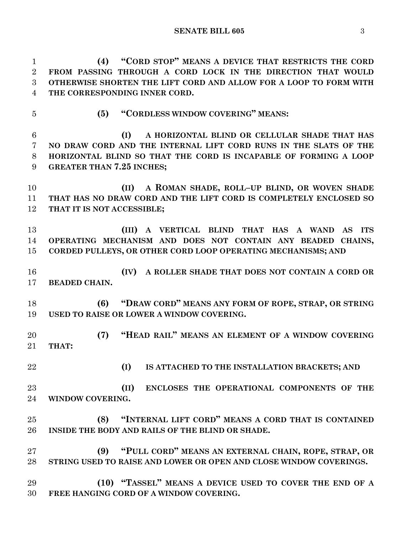1 (4) **CORD STOP MEANS A DEVICE THAT RESTRICTS THE CORD FROM PASSING THROUGH A CORD LOCK IN THE DIRECTION THAT WOULD** 

 **OTHERWISE SHORTEN THE LIFT CORD AND ALLOW FOR A LOOP TO FORM WITH THE CORRESPONDING INNER CORD. (5) CORDLESS WINDOW COVERING**<sup>**? MEANS:**</sup> **(I) A HORIZONTAL BLIND OR CELLULAR SHADE THAT HAS NO DRAW CORD AND THE INTERNAL LIFT CORD RUNS IN THE SLATS OF THE HORIZONTAL BLIND SO THAT THE CORD IS INCAPABLE OF FORMING A LOOP GREATER THAN 7.25 INCHES**; **(II) A ROMAN SHADE, ROLL-UP BLIND, OR WOVEN SHADE THAT HAS NO DRAW CORD AND THE LIFT CORD IS COMPLETELY ENCLOSED SO THAT IT IS NOT ACCESSIBLE: (III) A VERTICAL BLIND THAT HAS A WAND AS ITS OPERATING MECHANISM AND DOES NOT CONTAIN ANY BEADED CHAINS, CORDED PULLEYS, OR OTHER CORD LOOP OPERATING MECHANISMS[ AND (IV) A ROLLER SHADE THAT DOES NOT CONTAIN A CORD OR BEADED CHAIN. (6) ´'RAW CORDµ MEANS ANY FORM OF ROPE, STRAP, OR STRING USED TO RAISE OR LOWER A WINDOW COVERING. (7) ´+EAD RAILµ MEANS AN ELEMENT OF A WINDOW COVERING THAT: (I) IS ATTACHED TO THE INSTALLATION BRACKETS; AND (II) ENCLOSES THE OPERATIONAL COMPONENTS OF THE WINDOW COVERING. (8) ´,NTERNAL LIFT CORDµ MEANS A CORD THAT IS CONTAINED INSIDE THE BODY AND RAILS OF THE BLIND OR SHADE. (9) ´3ULL CORDµ MEANS AN EXTERNAL CHAIN, ROPE, STRAP, OR STRING USED TO RAISE AND LOWER OR OPEN AND CLOSE WINDOW COVERINGS. (10) ´7ASSELµ MEANS A DEVICE USED TO COVER THE END OF A FREE HANGING CORD OF A WINDOW COVERING.**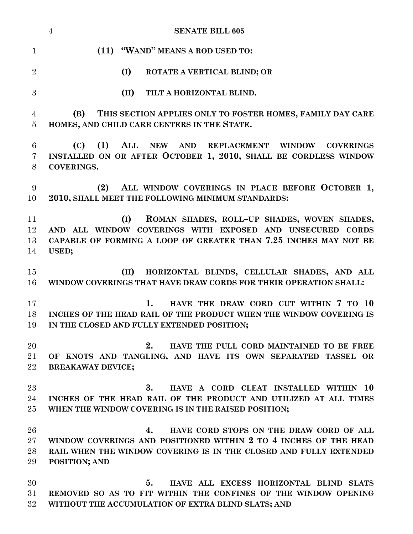|                | <b>SENATE BILL 605</b><br>$\overline{4}$                                                                    |
|----------------|-------------------------------------------------------------------------------------------------------------|
| $\mathbf{1}$   | (11) "WAND" MEANS A ROD USED TO:                                                                            |
| $\overline{2}$ | (I)<br>ROTATE A VERTICAL BLIND; OR                                                                          |
| 3              | (II)<br>TILT A HORIZONTAL BLIND.                                                                            |
| 4              | (B)<br>THIS SECTION APPLIES ONLY TO FOSTER HOMES, FAMILY DAY CARE                                           |
| 5              | HOMES, AND CHILD CARE CENTERS IN THE STATE.                                                                 |
| 6              | (C)<br>(1)<br>ALL NEW AND REPLACEMENT WINDOW COVERINGS                                                      |
| 7<br>8         | INSTALLED ON OR AFTER OCTOBER 1, 2010, SHALL BE CORDLESS WINDOW<br><b>COVERINGS.</b>                        |
| 9<br>10        | ALL WINDOW COVERINGS IN PLACE BEFORE OCTOBER 1,<br>(2)<br>2010, SHALL MEET THE FOLLOWING MINIMUM STANDARDS: |
| 11             | ROMAN SHADES, ROLL-UP SHADES, WOVEN SHADES,<br>(I)                                                          |
| 12             | AND ALL WINDOW COVERINGS WITH EXPOSED AND UNSECURED CORDS                                                   |
| 13             | CAPABLE OF FORMING A LOOP OF GREATER THAN 7.25 INCHES MAY NOT BE                                            |
| 14             | USED;                                                                                                       |
| 15             | HORIZONTAL BLINDS, CELLULAR SHADES, AND ALL<br>(II)                                                         |
| 16             | WINDOW COVERINGS THAT HAVE DRAW CORDS FOR THEIR OPERATION SHALL:                                            |
| 17             | HAVE THE DRAW CORD CUT WITHIN 7 TO 10<br>1.                                                                 |
| 18             | INCHES OF THE HEAD RAIL OF THE PRODUCT WHEN THE WINDOW COVERING IS                                          |
| 19             | IN THE CLOSED AND FULLY EXTENDED POSITION;                                                                  |
| 20             | 2.<br>HAVE THE PULL CORD MAINTAINED TO BE FREE                                                              |
| 21             | OF KNOTS AND TANGLING, AND HAVE ITS OWN SEPARATED TASSEL OR                                                 |
| 22             | <b>BREAKAWAY DEVICE;</b>                                                                                    |
| $23\,$         | 3.<br>HAVE A CORD CLEAT INSTALLED WITHIN 10                                                                 |
| 24             | INCHES OF THE HEAD RAIL OF THE PRODUCT AND UTILIZED AT ALL TIMES                                            |
| $25\,$         | WHEN THE WINDOW COVERING IS IN THE RAISED POSITION;                                                         |
| 26             | HAVE CORD STOPS ON THE DRAW CORD OF ALL<br>4.                                                               |
| $27\,$         | WINDOW COVERINGS AND POSITIONED WITHIN 2 TO 4 INCHES OF THE HEAD                                            |
| 28             | RAIL WHEN THE WINDOW COVERING IS IN THE CLOSED AND FULLY EXTENDED                                           |
| 29             | POSITION; AND                                                                                               |
| 30             | HAVE ALL EXCESS HORIZONTAL BLIND SLATS<br>5.                                                                |
| 31             | REMOVED SO AS TO FIT WITHIN THE CONFINES OF THE WINDOW OPENING                                              |
|                |                                                                                                             |

**WITHOUT THE ACCUMULATION OF EXTRA BLIND SLATS; AND**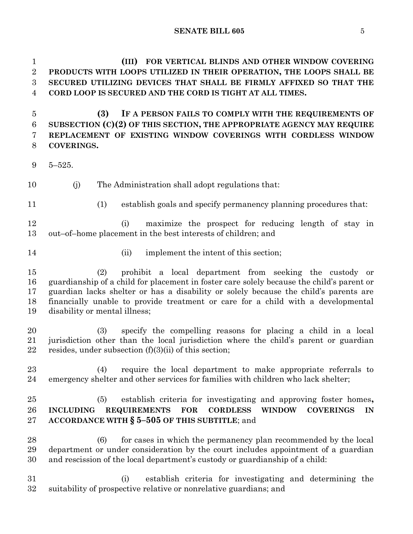**(III) FOR VERTICAL BLINDS AND OTHER WINDOW COVERING PRODUCTS WITH LOOPS UTILIZED IN THEIR OPERATION, THE LOOPS SHALL BE SECURED UTILIZING DEVICES THAT SHALL BE FIRMLY AFFIXED SO THAT THE CORD LOOP IS SECURED AND THE CORD IS TIGHT AT ALL TIMES.**

 **(3) IF A PERSON FAILS TO COMPLY WITH THE REQUIREMENTS OF SUBSECTION (C)(2) OF THIS SECTION, THE APPROPRIATE AGENCY MAY REQUIRE REPLACEMENT OF EXISTING WINDOW COVERINGS WITH CORDLESS WINDOW COVERINGS.**

- $9\quad 5-525.$
- (j) The Administration shall adopt regulations that:
- 
- (1) establish goals and specify permanency planning procedures that:

 (i) maximize the prospect for reducing length of stay in 13 out-of-home placement in the best interests of children; and

- 
- 14 (ii) implement the intent of this section;

 (2) prohibit a local department from seeking the custody or 16 guardianship of a child for placement in foster care solely because the child's parent or 17 guardian lacks shelter or has a disability or solely because the child's parents are financially unable to provide treatment or care for a child with a developmental 19 disability or mental illness;

 (3) specify the compelling reasons for placing a child in a local 21 jurisdiction other than the local jurisdiction where the child's parent or guardian 22 resides, under subsection  $(f)(3)(ii)$  of this section;

 (4) require the local department to make appropriate referrals to 24 emergency shelter and other services for families with children who lack shelter;

 (5) establish criteria for investigating and approving foster homes**, INCLUDING REQUIREMENTS FOR CORDLESS WINDOW COVERINGS IN 27 ACCORDANCE WITH § 5-505 OF THIS SUBTITLE**; and

 (6) for cases in which the permanency plan recommended by the local department or under consideration by the court includes appointment of a guardian 30 and rescission of the local department's custody or guardianship of a child:

 (i) establish criteria for investigating and determining the 32 suitability of prospective relative or nonrelative guardians; and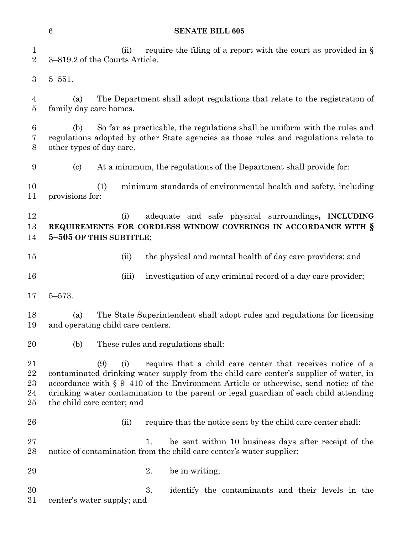1 (ii) require the filing of a report with the court as provided in § 2 3-819.2 of the Courts Article.  $3, 5-551.$ 4 (a) The Department shall adopt regulations that relate to the registration of 5 family day care homes. 6 (b) So far as practicable, the regulations shall be uniform with the rules and 7 regulations adopted by other State agencies as those rules and regulations relate to 8 other types of day care. 9 (c) At a minimum, the regulations of the Department shall provide for: 10 (1) minimum standards of environmental health and safety, including 11 provisions for: 12 (i) adequate and safe physical surroundings**, INCLUDING**  13 **REQUIREMENTS FOR CORDLESS WINDOW COVERINGS IN ACCORDANCE WITH §** 14 **5-505 OF THIS SUBTITLE**; 15 (ii) the physical and mental health of day care providers; and 16 (iii) investigation of any criminal record of a day care provider;  $17 \quad 5 - 573.$ 18 (a) The State Superintendent shall adopt rules and regulations for licensing 19 and operating child care centers. 20 (b) These rules and regulations shall: 21 (9) (i) require that a child care center that receives notice of a 22 contaminated drinking water supply from the child care center's supplier of water, in 23 accordance with  $\S 9-410$  of the Environment Article or otherwise, send notice of the 24 drinking water contamination to the parent or legal guardian of each child attending 25 the child care center; and 26 (ii) require that the notice sent by the child care center shall: 27 1. be sent within 10 business days after receipt of the 28 notice of contamination from the child care center's water supplier;  $29$  be in writing; 30 3. identify the contaminants and their levels in the 31 center's water supply; and